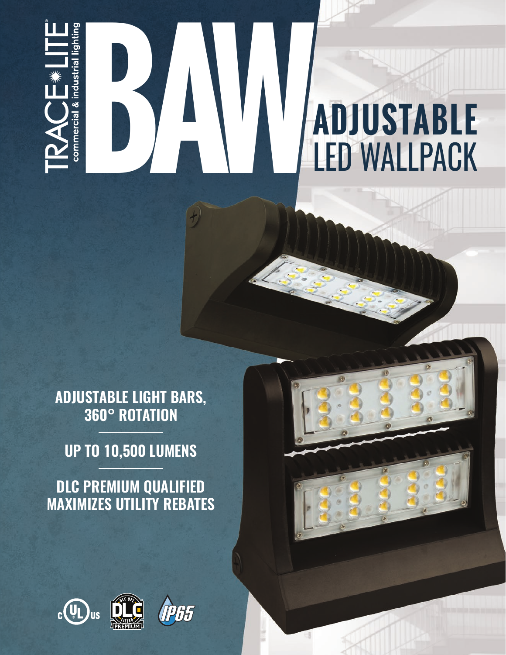

## **BAWALDACK** LED WALLPACK

**ADJUSTABLE LIGHT BARS,**

**UP TO 10,500 LUMENS**

**360° ROTATION**

**DLC PREMIUM QUALIFIED**

**MAXIMIZES UTILITY REBATES**

 $c(U_L)$ us

IP65